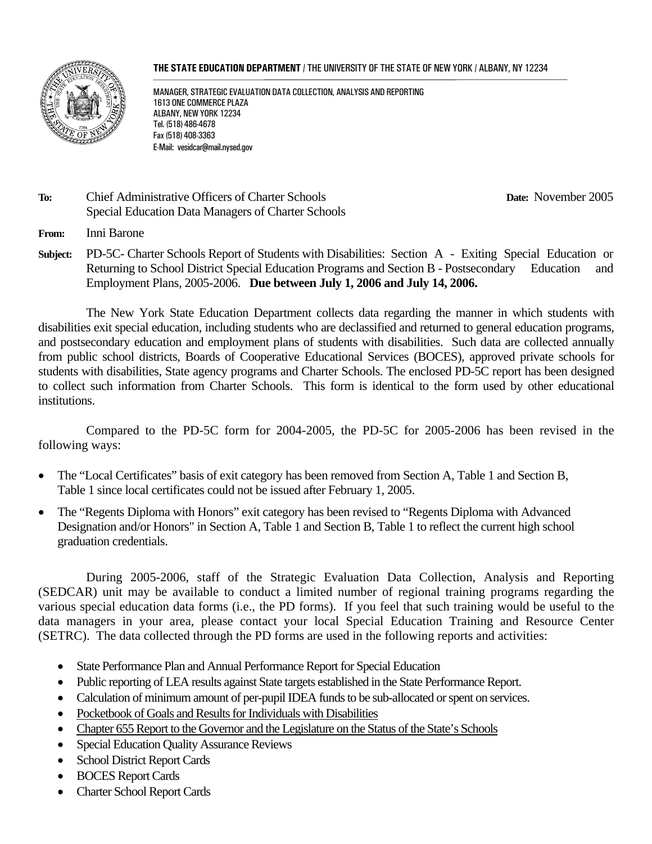#### **THE STATE EDUCATION DEPARTMENT** / THE UNIVERSITY OF THE STATE OF NEW YORK / ALBANY, NY 12234



MANAGER, STRATEGIC EVALUATION DATA COLLECTION, ANALYSIS AND REPORTING 1613 ONE COMMERCE PLAZA ALBANY, NEW YORK 12234 Tel. (518) 486-4678 Fax (518) 408-3363 E-Mail: vesidcar@mail.nysed.gov

#### **To:** Chief Administrative Officers of Charter Schools **Date:** November 2005 Special Education Data Managers of Charter Schools

**From:** Inni Barone

**Subject:** PD-5C- Charter Schools Report of Students with Disabilities: Section A - Exiting Special Education or Returning to School District Special Education Programs and Section B - Postsecondary Education and Employment Plans, 2005-2006. **Due between July 1, 2006 and July 14, 2006.**

The New York State Education Department collects data regarding the manner in which students with disabilities exit special education, including students who are declassified and returned to general education programs, and postsecondary education and employment plans of students with disabilities. Such data are collected annually from public school districts, Boards of Cooperative Educational Services (BOCES), approved private schools for students with disabilities, State agency programs and Charter Schools. The enclosed PD-5C report has been designed to collect such information from Charter Schools. This form is identical to the form used by other educational institutions.

Compared to the PD-5C form for 2004-2005, the PD-5C for 2005-2006 has been revised in the following ways:

- The "Local Certificates" basis of exit category has been removed from Section A, Table 1 and Section B, Table 1 since local certificates could not be issued after February 1, 2005.
- The "Regents Diploma with Honors" exit category has been revised to "Regents Diploma with Advanced Designation and/or Honors" in Section A, Table 1 and Section B, Table 1 to reflect the current high school graduation credentials.

During 2005-2006, staff of the Strategic Evaluation Data Collection, Analysis and Reporting (SEDCAR) unit may be available to conduct a limited number of regional training programs regarding the various special education data forms (i.e., the PD forms). If you feel that such training would be useful to the data managers in your area, please contact your local Special Education Training and Resource Center (SETRC). The data collected through the PD forms are used in the following reports and activities:

- State Performance Plan and Annual Performance Report for Special Education
- Public reporting of LEA results against State targets established in the State Performance Report.
- Calculation of minimum amount of per-pupil IDEA funds to be sub-allocated or spent on services.
- Pocketbook of Goals and Results for Individuals with Disabilities
- Chapter 655 Report to the Governor and the Legislature on the Status of the State's Schools
- Special Education Quality Assurance Reviews
- School District Report Cards
- BOCES Report Cards
- Charter School Report Cards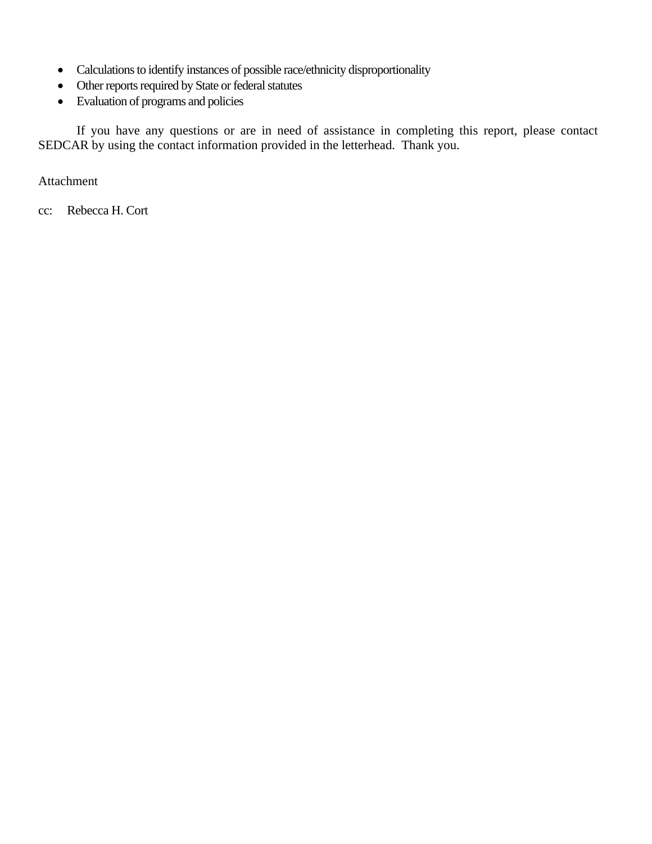- Calculations to identify instances of possible race/ethnicity disproportionality
- Other reports required by State or federal statutes
- Evaluation of programs and policies

If you have any questions or are in need of assistance in completing this report, please contact SEDCAR by using the contact information provided in the letterhead. Thank you.

Attachment

cc: Rebecca H. Cort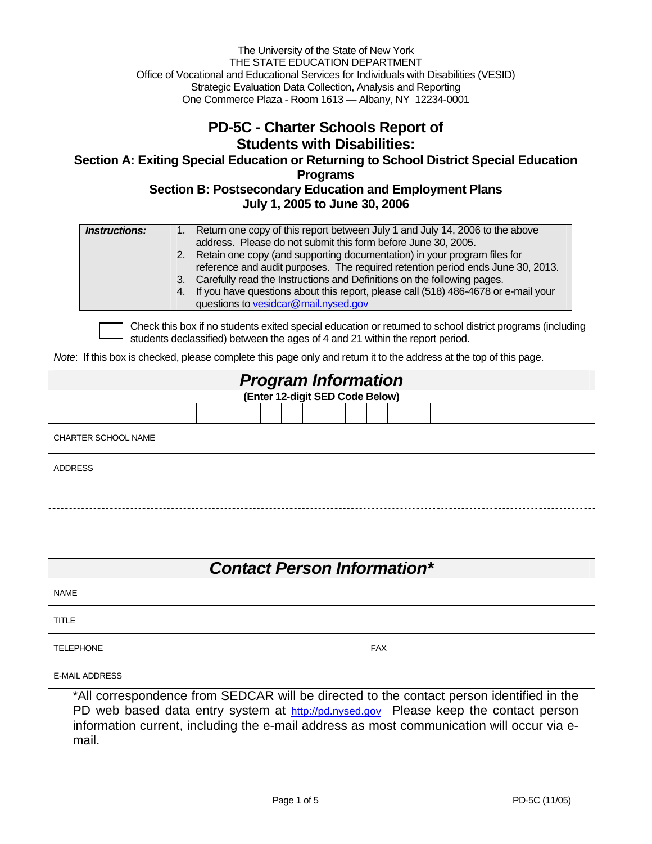The University of the State of New York THE STATE EDUCATION DEPARTMENT Office of Vocational and Educational Services for Individuals with Disabilities (VESID) Strategic Evaluation Data Collection, Analysis and Reporting One Commerce Plaza - Room 1613 — Albany, NY 12234-0001

#### **PD-5C - Charter Schools Report of Students with Disabilities:**

**Section A: Exiting Special Education or Returning to School District Special Education Programs Section B: Postsecondary Education and Employment Plans** 

**July 1, 2005 to June 30, 2006** 

| <b>Instructions:</b> | 1. Return one copy of this report between July 1 and July 14, 2006 to the above<br>address. Please do not submit this form before June 30, 2005.                                                                                                                                                                                                                              |
|----------------------|-------------------------------------------------------------------------------------------------------------------------------------------------------------------------------------------------------------------------------------------------------------------------------------------------------------------------------------------------------------------------------|
|                      | 2. Retain one copy (and supporting documentation) in your program files for<br>reference and audit purposes. The required retention period ends June 30, 2013.<br>3. Carefully read the Instructions and Definitions on the following pages.<br>4. If you have questions about this report, please call (518) 486-4678 or e-mail your<br>questions to vesidcar@mail.nysed.gov |

Check this box if no students exited special education or returned to school district programs (including students declassified) between the ages of 4 and 21 within the report period.

*Note*: If this box is checked, please complete this page only and return it to the address at the top of this page.

| <b>Program Information</b><br>(Enter 12-digit SED Code Below) |  |  |  |  |  |  |  |  |  |  |  |  |  |  |  |  |  |  |
|---------------------------------------------------------------|--|--|--|--|--|--|--|--|--|--|--|--|--|--|--|--|--|--|
|                                                               |  |  |  |  |  |  |  |  |  |  |  |  |  |  |  |  |  |  |
|                                                               |  |  |  |  |  |  |  |  |  |  |  |  |  |  |  |  |  |  |
| <b>CHARTER SCHOOL NAME</b>                                    |  |  |  |  |  |  |  |  |  |  |  |  |  |  |  |  |  |  |
| <b>ADDRESS</b>                                                |  |  |  |  |  |  |  |  |  |  |  |  |  |  |  |  |  |  |
|                                                               |  |  |  |  |  |  |  |  |  |  |  |  |  |  |  |  |  |  |
|                                                               |  |  |  |  |  |  |  |  |  |  |  |  |  |  |  |  |  |  |

| <b>Contact Person Information*</b> |            |  |  |  |  |  |  |  |  |
|------------------------------------|------------|--|--|--|--|--|--|--|--|
| <b>NAME</b>                        |            |  |  |  |  |  |  |  |  |
| <b>TITLE</b>                       |            |  |  |  |  |  |  |  |  |
| <b>TELEPHONE</b>                   | <b>FAX</b> |  |  |  |  |  |  |  |  |
| <b>E-MAIL ADDRESS</b>              |            |  |  |  |  |  |  |  |  |

\*All correspondence from SEDCAR will be directed to the contact person identified in the PD web based data entry system at http://pd.nysed.gov Please keep the contact person information current, including the e-mail address as most communication will occur via email.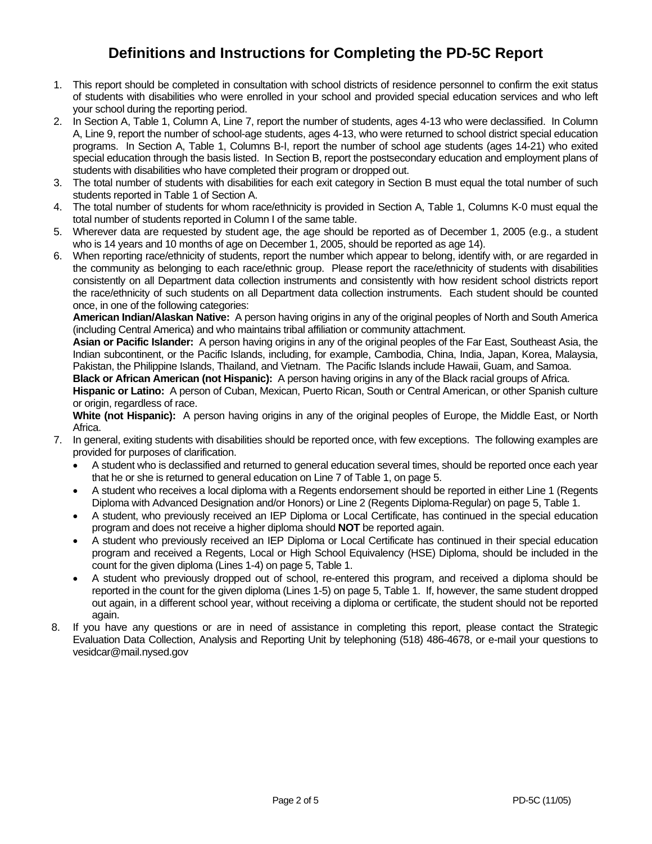### **Definitions and Instructions for Completing the PD-5C Report**

- 1. This report should be completed in consultation with school districts of residence personnel to confirm the exit status of students with disabilities who were enrolled in your school and provided special education services and who left your school during the reporting period.
- 2. In Section A, Table 1, Column A, Line 7, report the number of students, ages 4-13 who were declassified. In Column A, Line 9, report the number of school-age students, ages 4-13, who were returned to school district special education programs. In Section A, Table 1, Columns B-I, report the number of school age students (ages 14-21) who exited special education through the basis listed. In Section B, report the postsecondary education and employment plans of students with disabilities who have completed their program or dropped out.
- 3. The total number of students with disabilities for each exit category in Section B must equal the total number of such students reported in Table 1 of Section A.
- 4. The total number of students for whom race/ethnicity is provided in Section A, Table 1, Columns K-0 must equal the total number of students reported in Column I of the same table.
- 5. Wherever data are requested by student age, the age should be reported as of December 1, 2005 (e.g., a student who is 14 years and 10 months of age on December 1, 2005, should be reported as age 14).
- 6. When reporting race/ethnicity of students, report the number which appear to belong, identify with, or are regarded in the community as belonging to each race/ethnic group. Please report the race/ethnicity of students with disabilities consistently on all Department data collection instruments and consistently with how resident school districts report the race/ethnicity of such students on all Department data collection instruments. Each student should be counted once, in one of the following categories:

**American Indian/Alaskan Native:** A person having origins in any of the original peoples of North and South America (including Central America) and who maintains tribal affiliation or community attachment.

**Asian or Pacific Islander:** A person having origins in any of the original peoples of the Far East, Southeast Asia, the Indian subcontinent, or the Pacific Islands, including, for example, Cambodia, China, India, Japan, Korea, Malaysia, Pakistan, the Philippine Islands, Thailand, and Vietnam. The Pacific Islands include Hawaii, Guam, and Samoa.

**Black or African American (not Hispanic):** A person having origins in any of the Black racial groups of Africa.

**Hispanic or Latino:** A person of Cuban, Mexican, Puerto Rican, South or Central American, or other Spanish culture or origin, regardless of race.

**White (not Hispanic):** A person having origins in any of the original peoples of Europe, the Middle East, or North Africa.

- 7. In general, exiting students with disabilities should be reported once, with few exceptions. The following examples are provided for purposes of clarification.
	- A student who is declassified and returned to general education several times, should be reported once each year that he or she is returned to general education on Line 7 of Table 1, on page 5.
	- A student who receives a local diploma with a Regents endorsement should be reported in either Line 1 (Regents Diploma with Advanced Designation and/or Honors) or Line 2 (Regents Diploma-Regular) on page 5, Table 1.
	- A student, who previously received an IEP Diploma or Local Certificate, has continued in the special education program and does not receive a higher diploma should **NOT** be reported again.
	- A student who previously received an IEP Diploma or Local Certificate has continued in their special education program and received a Regents, Local or High School Equivalency (HSE) Diploma, should be included in the count for the given diploma (Lines 1-4) on page 5, Table 1.
	- A student who previously dropped out of school, re-entered this program, and received a diploma should be reported in the count for the given diploma (Lines 1-5) on page 5, Table 1. If, however, the same student dropped out again, in a different school year, without receiving a diploma or certificate, the student should not be reported again.
- 8. If you have any questions or are in need of assistance in completing this report, please contact the Strategic Evaluation Data Collection, Analysis and Reporting Unit by telephoning (518) 486-4678, or e-mail your questions to vesidcar@mail.nysed.gov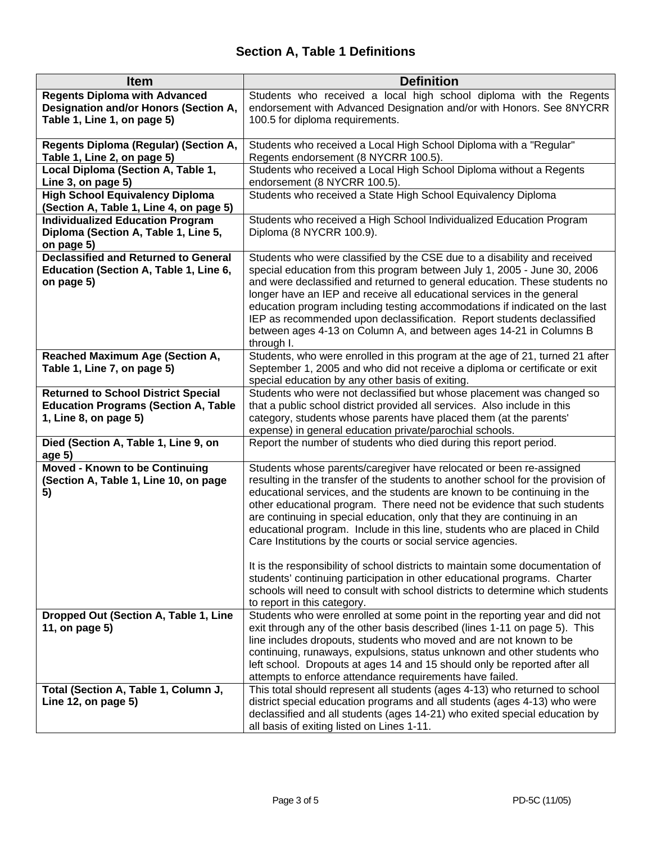# **Section A, Table 1 Definitions**

| <b>Item</b>                                                                                                        | <b>Definition</b>                                                                                                                                                                                                                                                                                                                                                                                                                                                                                                                                                                                                                                                                                        |
|--------------------------------------------------------------------------------------------------------------------|----------------------------------------------------------------------------------------------------------------------------------------------------------------------------------------------------------------------------------------------------------------------------------------------------------------------------------------------------------------------------------------------------------------------------------------------------------------------------------------------------------------------------------------------------------------------------------------------------------------------------------------------------------------------------------------------------------|
| <b>Regents Diploma with Advanced</b>                                                                               | Students who received a local high school diploma with the Regents<br>endorsement with Advanced Designation and/or with Honors. See 8NYCRR                                                                                                                                                                                                                                                                                                                                                                                                                                                                                                                                                               |
| Designation and/or Honors (Section A,<br>Table 1, Line 1, on page 5)                                               | 100.5 for diploma requirements.                                                                                                                                                                                                                                                                                                                                                                                                                                                                                                                                                                                                                                                                          |
| Regents Diploma (Regular) (Section A,<br>Table 1, Line 2, on page 5)                                               | Students who received a Local High School Diploma with a "Regular"<br>Regents endorsement (8 NYCRR 100.5).                                                                                                                                                                                                                                                                                                                                                                                                                                                                                                                                                                                               |
| Local Diploma (Section A, Table 1,<br>Line 3, on page 5)                                                           | Students who received a Local High School Diploma without a Regents<br>endorsement (8 NYCRR 100.5).                                                                                                                                                                                                                                                                                                                                                                                                                                                                                                                                                                                                      |
| <b>High School Equivalency Diploma</b><br>(Section A, Table 1, Line 4, on page 5)                                  | Students who received a State High School Equivalency Diploma                                                                                                                                                                                                                                                                                                                                                                                                                                                                                                                                                                                                                                            |
| <b>Individualized Education Program</b>                                                                            | Students who received a High School Individualized Education Program                                                                                                                                                                                                                                                                                                                                                                                                                                                                                                                                                                                                                                     |
| Diploma (Section A, Table 1, Line 5,<br>on page 5)                                                                 | Diploma (8 NYCRR 100.9).                                                                                                                                                                                                                                                                                                                                                                                                                                                                                                                                                                                                                                                                                 |
| <b>Declassified and Returned to General</b><br>Education (Section A, Table 1, Line 6,<br>on page 5)                | Students who were classified by the CSE due to a disability and received<br>special education from this program between July 1, 2005 - June 30, 2006<br>and were declassified and returned to general education. These students no<br>longer have an IEP and receive all educational services in the general<br>education program including testing accommodations if indicated on the last<br>IEP as recommended upon declassification. Report students declassified<br>between ages 4-13 on Column A, and between ages 14-21 in Columns B<br>through I.                                                                                                                                                |
| <b>Reached Maximum Age (Section A,</b><br>Table 1, Line 7, on page 5)                                              | Students, who were enrolled in this program at the age of 21, turned 21 after<br>September 1, 2005 and who did not receive a diploma or certificate or exit<br>special education by any other basis of exiting.                                                                                                                                                                                                                                                                                                                                                                                                                                                                                          |
| <b>Returned to School District Special</b><br><b>Education Programs (Section A, Table</b><br>1, Line 8, on page 5) | Students who were not declassified but whose placement was changed so<br>that a public school district provided all services. Also include in this<br>category, students whose parents have placed them (at the parents'<br>expense) in general education private/parochial schools.                                                                                                                                                                                                                                                                                                                                                                                                                     |
| Died (Section A, Table 1, Line 9, on<br>age 5)                                                                     | Report the number of students who died during this report period.                                                                                                                                                                                                                                                                                                                                                                                                                                                                                                                                                                                                                                        |
| <b>Moved - Known to be Continuing</b><br>(Section A, Table 1, Line 10, on page<br>5)                               | Students whose parents/caregiver have relocated or been re-assigned<br>resulting in the transfer of the students to another school for the provision of<br>educational services, and the students are known to be continuing in the<br>other educational program. There need not be evidence that such students<br>are continuing in special education, only that they are continuing in an<br>educational program. Include in this line, students who are placed in Child<br>Care Institutions by the courts or social service agencies.<br>It is the responsibility of school districts to maintain some documentation of<br>students' continuing participation in other educational programs. Charter |
|                                                                                                                    | schools will need to consult with school districts to determine which students<br>to report in this category.                                                                                                                                                                                                                                                                                                                                                                                                                                                                                                                                                                                            |
| Dropped Out (Section A, Table 1, Line<br>11, on page 5)                                                            | Students who were enrolled at some point in the reporting year and did not<br>exit through any of the other basis described (lines 1-11 on page 5). This<br>line includes dropouts, students who moved and are not known to be<br>continuing, runaways, expulsions, status unknown and other students who<br>left school. Dropouts at ages 14 and 15 should only be reported after all<br>attempts to enforce attendance requirements have failed.                                                                                                                                                                                                                                                       |
| Total (Section A, Table 1, Column J,<br>Line 12, on page 5)                                                        | This total should represent all students (ages 4-13) who returned to school<br>district special education programs and all students (ages 4-13) who were<br>declassified and all students (ages 14-21) who exited special education by<br>all basis of exiting listed on Lines 1-11.                                                                                                                                                                                                                                                                                                                                                                                                                     |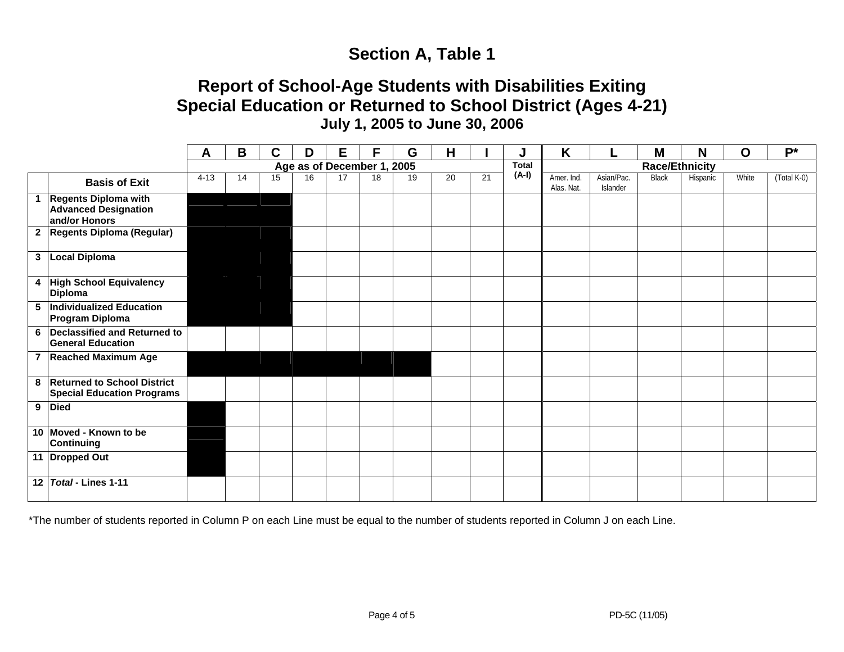# **Section A, Table 1**

# **Report of School-Age Students with Disabilities Exiting Special Education or Returned to School District (Ages 4-21) July 1, 2005 to June 30, 2006**

|                                                                        | A                          | B  | C  | D  | E  | F  | G  | Н  |    |       | K                        |                        | M     | N        | $\mathbf O$ | $P^*$       |  |
|------------------------------------------------------------------------|----------------------------|----|----|----|----|----|----|----|----|-------|--------------------------|------------------------|-------|----------|-------------|-------------|--|
|                                                                        | Age as of December 1, 2005 |    |    |    |    |    |    |    |    |       | <b>Race/Ethnicity</b>    |                        |       |          |             |             |  |
| <b>Basis of Exit</b>                                                   | $4 - 13$                   | 14 | 15 | 16 | 17 | 18 | 19 | 20 | 21 | (A-I) | Amer. Ind.<br>Alas. Nat. | Asian/Pac.<br>Islander | Black | Hispanic | White       | (Total K-0) |  |
| 1 Regents Diploma with<br><b>Advanced Designation</b><br>and/or Honors |                            |    |    |    |    |    |    |    |    |       |                          |                        |       |          |             |             |  |
| 2 Regents Diploma (Regular)                                            |                            |    |    |    |    |    |    |    |    |       |                          |                        |       |          |             |             |  |
| 3 Local Diploma                                                        |                            |    |    |    |    |    |    |    |    |       |                          |                        |       |          |             |             |  |
| 4 High School Equivalency<br><b>Diploma</b>                            |                            |    |    |    |    |    |    |    |    |       |                          |                        |       |          |             |             |  |
| 5  Individualized Education<br><b>Program Diploma</b>                  |                            |    |    |    |    |    |    |    |    |       |                          |                        |       |          |             |             |  |
| 6 Declassified and Returned to<br><b>General Education</b>             |                            |    |    |    |    |    |    |    |    |       |                          |                        |       |          |             |             |  |
| 7 Reached Maximum Age                                                  |                            |    |    |    |    |    |    |    |    |       |                          |                        |       |          |             |             |  |
| 8 Returned to School District<br><b>Special Education Programs</b>     |                            |    |    |    |    |    |    |    |    |       |                          |                        |       |          |             |             |  |
| 9 Died                                                                 |                            |    |    |    |    |    |    |    |    |       |                          |                        |       |          |             |             |  |
| 10 Moved - Known to be<br><b>Continuing</b>                            |                            |    |    |    |    |    |    |    |    |       |                          |                        |       |          |             |             |  |
| 11 Dropped Out                                                         |                            |    |    |    |    |    |    |    |    |       |                          |                        |       |          |             |             |  |
| 12 Total - Lines 1-11                                                  |                            |    |    |    |    |    |    |    |    |       |                          |                        |       |          |             |             |  |

\*The number of students reported in Column P on each Line must be equal to the number of students reported in Column J on each Line.